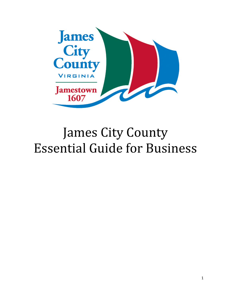

# James City County Essential Guide for Business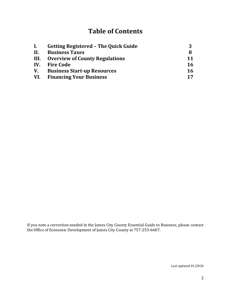# **Table of Contents**

| $\mathbf{I}$ . | <b>Getting Registered - The Quick Guide</b> | ર         |
|----------------|---------------------------------------------|-----------|
| II.            | <b>Business Taxes</b>                       | 8         |
|                | III. Overview of County Regulations         | 11        |
|                | IV. Fire Code                               | 16        |
|                | V. Business Start-up Resources              | <b>16</b> |
|                | <b>VI.</b> Financing Your Business          | 17        |

If you note a correction needed in the James City County Essential Guide to Business, please contact the Office of Economic Development of James City County at 757-253-6607.

Last updated 01/2020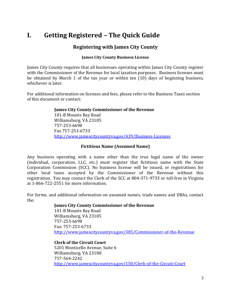# **I. Getting Registered – The Quick Guide**

### **Registering with James City County**

### **James City County Business License**

James City County requires that all businesses operating within James City County register with the Commissioner of the Revenue for local taxation purposes. Business licenses must be obtained by March 1 of the tax year or within ten (10) days of beginning business, whichever is later.

For additional information on licenses and fees, please refer to the Business Taxes section of this document or contact:

### **James City County Commissioner of the Revenue**

101-B Mounts Bay Road Williamsburg, VA 23185 757-253-6698 Fax 757-253-6733 <http://www.jamescitycountyva.gov/439/Business-Licenses>

### **Fictitious Name (Assumed Name)**

Any business operating with a name other than the true legal name of the owner (individual, corporation, LLC, etc.) must register that fictitious name with the State Corporation Commission (SCC). No business license will be issued, or registrations for other local taxes accepted by the Commissioner of the Revenue without this registration. You may contact the Clerk of the SCC at 804-371-9733 or toll-free in Virginia at 1-866-722-2551 for more information.

For forms, and additional information on assumed names, trade names and DBAs, contact the:

### **James City County Commissioner of the Revenue**

101-B Mounts Bay Road Williamsburg, VA 23185 757-253-6698 Fax: 757-253-6733 <http://www.jamescitycountyva.gov/385/Commissioner-of-the-Revenue>

**Clerk of the Circuit Court** 5201 Monticello Avenue, Suite 6 Williamsburg, VA 23188 757-564-2242 <http://www.jamescitycountyva.gov/150/Clerk-of-the-Circuit-Court>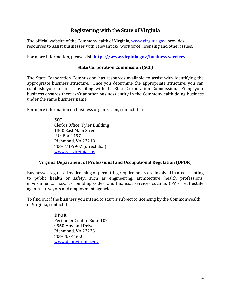### **Registering with the State of Virginia**

The official website of the Commonwealth of Virginia, [www.virginia.gov,](http://www.virginia.gov/) provides resources to assist businesses with relevant tax, workforce, licensing and other issues.

For more information, please visit **[https://www.virginia.gov/business services](https://www.virginia.gov/services/business/#paging:currentPage=0|paging:number=10)**.

### **State Corporation Commission (SCC)**

The State Corporation Commission has resources available to assist with identifying the appropriate business structure. Once you determine the appropriate structure, you can establish your business by filing with the State Corporation Commission. Filing your business ensures there isn't another business entity in the Commonwealth doing business under the same business name.

For more information on business organization, contact the:

**SCC** Clerk's Office, Tyler Building 1300 East Main Street P.O. Box 1197 Richmond, VA 23218 804-371-9967 (direct dial) [www.scc.virginia.gov](http://www.scc.virginia.gov/)

### **Virginia Department of Professional and Occupational Regulation (DPOR)**

Businesses regulated by licensing or permitting requirements are involved in areas relating to public health or safety, such as engineering, architecture, health professions, environmental hazards, building codes, and financial services such as CPA's, real estate agents, surveyors and employment agencies.

To find out if the business you intend to start is subject to licensing by the Commonwealth of Virginia, contact the:

### **DPOR**

Perimeter Center, Suite 102 9960 Mayland Drive Richmond, VA 23233 804-367-8500 [www.dpor.virginia.gov](http://www.dpor.virginia.gov/)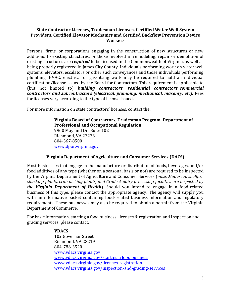### **State Contractor Licenses, Tradesman Licenses, Certified Water Well System Providers, Certified Elevator Mechanics and Certified Backflow Prevention Device Workers**

Persons, firms, or corporations engaging in the construction of new structures or new additions to existing structures, or those involved in remodeling, repair or demolition of existing structures are *required* to be licensed in the Commonwealth of Virginia, as well as being properly registered in James City County. Individuals performing work on water well systems, elevators, escalators or other such conveyances and those individuals performing plumbing, HVAC, electrical or gas-fitting work may be required to hold an individual certification/license issued by the Board for Contractors. This requirement is applicable to (but not limited to) *building contractors, residential contractors, commercial contractors and subcontractors (electrical, plumbing, mechanical, masonry, etc).* Fees for licenses vary according to the type of license issued.

For more information on state contractors' licenses, contact the:

**Virginia Board of Contractors, Tradesman Program, Department of Professional and Occupational Regulation** 9960 Mayland Dr., Suite 102 Richmond, VA 23233 804-367-8500 [www.dpor.virginia.gov](http://www.dpor.virginia.gov/)

### **Virginia Department of Agriculture and Consumer Services (DACS)**

Most businesses that engage in the manufacture or distribution of foods, beverages, and/or food additives of any type (whether on a seasonal basis or not) are required to be inspected by the Virginia Department of Agriculture and Consumer Services (*note: Molluscan shellfish shucking plants, crab picking plants, and Grade A dairy processing facilities are inspected by the Virginia Department of Health*). Should you intend to engage in a food-related business of this type, please contact the appropriate agency. The agency will supply you with an informative packet containing food-related business information and regulatory requirements. These businesses may also be required to obtain a permit from the Virginia Department of Commerce.

For basic information, starting a food business, licenses & registration and Inspection and grading services, please contact:

### **VDACS**

102 Governor Street Richmond, VA 23219 804-786-3520 [www.vdacs.virginia.gov](http://www.vdacs.virginia.gov/) [www.vdacs.virginia.gov/starting a food business](http://www.vdacs.virginia.gov/dairy-kitchen-food-services-businesses.shtml) [www.vdacs.virginia.gov/licenses-registration](http://www.vdacs.virginia.gov/localities-licenses-registration.shtml) [www.vdacs.virginia.gov/inspection-and-grading-services](http://www.vdacs.virginia.gov/inspection-and-grading-services.shtml)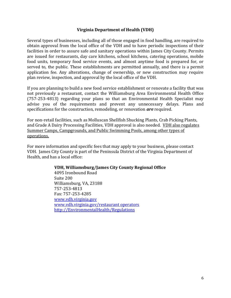### **Virginia Department of Health (VDH)**

Several types of businesses, including all of those engaged in food handling, are required to obtain approval from the local office of the VDH and to have periodic inspections of their facilities in order to assure safe and sanitary operations within James City County. Permits are issued for restaurants, day care kitchens, school kitchens, catering operations, mobile food units, temporary food service events, and almost anytime food is prepared for, or served to, the public. These establishments are permitted annually, and there is a permit application fee. Any alterations, change of ownership, or new construction may require plan review, inspection, and approval by the local office of the VDH.

If you are planning to build a new food service establishment or renovate a facility that was not previously a restaurant, contact the Williamsburg Area Environmental Health Office (757-253-4813) regarding your plans so that an Environmental Health Specialist may advise you of the requirements and prevent any unnecessary delays. Plans and specifications for the construction, remodeling, or renovation *are* required.

For non-retail facilities, such as Molluscan Shellfish Shucking Plants, Crab Picking Plants, and Grade A Dairy Processing Facilities, VDH approval is also needed. VDH also regulates Summer Camps, Campgrounds, and Public Swimming Pools, among other types of operations.

For more information and specific fees that may apply to your business, please contact VDH. James City County is part of the Peninsula District of the Virginia Department of Health, and has a local office:

### **VDH, Williamsburg/James City County Regional Office**

4095 Ironbound Road Suite 200 Williamsburg, VA, 23188 757-253-4813 Fax: 757-253-4285 [www.vdh.virginia.gov](http://www.vdh.virginia.gov/) [www.vdh.virginia.gov/restaurant operators](http://www.vdh.virginia.gov/EnvironmentalHealth/Food/FoodSafety/restaurantoperators/) [http://EnvironmentalHealth/Regulations](http://166.67.66.226/EnvironmentalHealth/Food/Regulations/index.htm)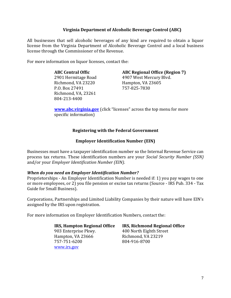### **Virginia Department of Alcoholic Beverage Control (ABC)**

All businesses that sell alcoholic beverages of any kind are required to obtain a liquor license from the Virginia Department of Alcoholic Beverage Control and a local business license through the Commissioner of the Revenue.

For more information on liquor licenses, contact the:

### **ABC Central Offic**

2901 Hermitage Road Richmond, VA 23220 P.O. Box 27491 Richmond, VA, 23261 804-213-4400

### **ABC Regional Office (Region 7)**

4907 West Mercury Blvd. Hampton, VA 23605 757-825-7830

**[www.abc.virginia.gov](https://www.abc.virginia.gov/)** (click "licenses" across the top menu for more specific information)

### **Registering with the Federal Government**

### **Employer Identification Number (EIN)**

Businesses must have a taxpayer identification number so the Internal Revenue Service can process tax returns. These identification numbers are your *Social Security Number (SSN)* and/or your *Employer Identification Number (EIN)*.

### *When do you need an Employer Identification Number?*

Proprietorships - An Employer Identification Number is needed if: 1) you pay wages to one or more employees, or 2) you file pension or excise tax returns (Source - IRS Pub. 334 - Tax Guide for Small Business).

Corporations, Partnerships and Limited Liability Companies by their nature will have EIN's assigned by the IRS upon registration.

For more information on Employer Identification Numbers, contact the:

903 Enterprise Pkwy. 400 North Eighth Street Hampton, VA 23666 Richmond, VA 23219 757-751-6200 804-916-8700 [www.irs.gov](http://www.irs.gov/)

**IRS, Hampton Regional Office IRS, Richmond Regional Office**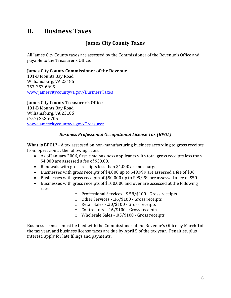# **II. Business Taxes**

### **James City County Taxes**

All James City County taxes are assessed by the Commissioner of the Revenue's Office and payable to the Treasurer's Office.

### **James City County Commissioner of the Revenue**

101-B Mounts Bay Road Williamsburg, VA 23185 757-253-6695 [www.jamescitycountyva.gov/BusinessTaxes](http://www.jamescitycountyva.gov/430/Business-Taxes)

**James City County Treasurer's Office** 101-B Mounts Bay Road Williamsburg, VA 23185 (757) 253-6705 [www.jamescitycountyva.gov/Treasurer](http://www.jamescitycountyva.gov/384/Treasurer)

### *Business Professional Occupational License Tax (BPOL)*

**What is BPOL? -** A tax assessed on non-manufacturing business according to gross receipts from operation at the following rates:

- As of January 2006, first-time business applicants with total gross receipts less than \$4,000 are assessed a fee of \$30.00.
- Renewals with gross receipts less than \$4,000 are no charge.
- Businesses with gross receipts of \$4,000 up to \$49,999 are assessed a fee of \$30.
- Businesses with gross receipts of \$50,000 up to \$99,999 are assessed a fee of \$50.
- Businesses with gross receipts of \$100,000 and over are assessed at the following rates:
	- o Professional Services \$.58/\$100 Gross receipts
	- o Other Services .36/\$100 Gross receipts
	- o Retail Sales .20/\$100 Gross receipts
	- o Contractors .16/\$100 Gross receipts
	- o Wholesale Sales .05/\$100 Gross receipts

Business licenses must be filed with the Commissioner of the Revenue's Office by March 1of the tax year, and business license taxes are due by April 5 of the tax year. Penalties, plus interest, apply for late filings and payments.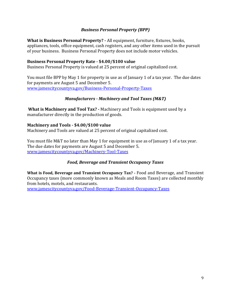### *Business Personal Property (BPP)*

**What is Business Personal Property? -** All equipment, furniture, fixtures, books, appliances, tools, office equipment, cash registers, and any other items used in the pursuit of your business. Business Personal Property does not include motor vehicles.

### **Business Personal Property Rate - \$4.00/\$100 value**

Business Personal Property is valued at 25 percent of original capitalized cost.

You must file BPP by May 1 for property in use as of January 1 of a tax year. The due dates for payments are August 5 and December 5. [www.jamescitycountyva.gov/Business-Personal-Property-Taxes](http://www.jamescitycountyva.gov/422/Business-Personal-Property)

### *Manufacturers - Machinery and Tool Taxes (M&T)*

**What is Machinery and Tool Tax? -** Machinery and Tools is equipment used by a manufacturer directly in the production of goods.

### **Machinery and Tools - \$4.00/\$100 value**

Machinery and Tools are valued at 25 percent of original capitalized cost.

You must file M&T no later than May 1 for equipment in use as of January 1 of a tax year. The due dates for payments are August 5 and December 5. [www.jamescitycountyva.gov/Machinery-Tool-Taxes](http://www.jamescitycountyva.gov/437/Machinery-Tool-Taxes)

### *Food, Beverage and Transient Occupancy Taxes*

**What is Food, Beverage and Transient Occupancy Tax? -** Food and Beverage, and Transient Occupancy taxes (more commonly known as Meals and Room Taxes) are collected monthly from hotels, motels, and restaurants.

[www.jamescitycountyva.gov/Food-Beverage-Transient-Occupancy-Taxes](http://www.jamescitycountyva.gov/435/Food-Beverage-Transient-Occupancy-Taxes)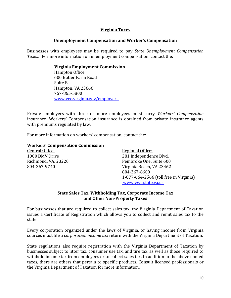### **Virginia Taxes**

### **Unemployment Compensation and Worker's Compensation**

Businesses with employees may be required to pay *State Unemployment Compensation Taxes*. For more information on unemployment compensation, contact the:

### **Virginia Employment Commission**

Hampton Office 600 Butler Farm Road Suite B Hampton, VA 23666 757-865-5800 [www.vec.virginia.gov/employers](http://www.vec.virginia.gov/employers)

Private employers with three or more employees must carry *Workers' Compensation* insurance. Workers' Compensation insurance is obtained from private insurance agents with premiums regulated by law.

For more information on workers' compensation, contact the:

### **Workers' Compensation Commission**

| Central Office:     | <b>Regional Office:</b>                |
|---------------------|----------------------------------------|
| 1000 DMV Drive      | 281 Independence Blvd.                 |
| Richmond, VA, 23220 | Pembroke One, Suite 600                |
| 804-367-9740        | Virginia Beach, VA 23462               |
|                     | 804-367-8600                           |
|                     | 1-877-664-2566 (toll free in Virginia) |
|                     | www.vwc.state.va.us                    |

### **State Sales Tax, Withholding Tax, Corporate Income Tax and Other Non-Property Taxes**

For businesses that are required to collect sales tax, the Virginia Department of Taxation issues a Certificate of Registration which allows you to collect and remit sales tax to the state.

Every corporation organized under the laws of Virginia, or having income from Virginia sources must file a *corporation income tax* return with the Virginia Department of Taxation.

State regulations also require registration with the Virginia Department of Taxation by businesses subject to litter tax, consumer use tax, and tire tax, as well as those required to withhold income tax from employees or to collect sales tax. In addition to the above named taxes, there are others that pertain to specific products. Consult licensed professionals or the Virginia Department of Taxation for more information.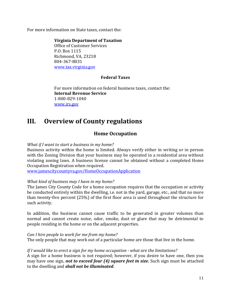For more information on State taxes, contact the:

**Virginia Department of Taxation** Office of Customer Services P.O. Box 1115 Richmond, VA, 23218 804-367-8031 [www.tax.virginia.gov](http://www.tax.virginia.gov/)

### **Federal Taxes**

For more information on federal business taxes, contact the: **Internal Revenue Service** 1-800-829-1040 [www.irs.gov](http://www.irs.gov/)

## **III. Overview of County regulations**

### **Home Occupation**

### *What if I want to start a business in my home?*

Business activity within the home is limited. Always verify either in writing or in person with the Zoning Division that your business may be operated in a residential area without violating zoning laws. A business license cannot be obtained without a completed Home Occupation Registration when required.

[www.jamescitycountyva.gov/HomeOccupationApplication](http://www.jamescitycountyva.gov/DocumentCenter/Home/View/5156)

### *What kind of business may I have in my home?*

The James City County Code for a home occupation requires that the occupation or activity be conducted entirely within the dwelling, i.e. not in the yard, garage, etc., and that no more than twenty-five percent (25%) of the first floor area is used throughout the structure for such activity.

In addition, the business cannot cause traffic to be generated in greater volumes than normal and cannot create noise, odor, smoke, dust or glare that may be detrimental to people residing in the home or on the adjacent properties.

*Can I hire people to work for me from my home?*

The only people that may work out of a particular home are those that live in the home.

### *If I would like to erect a sign for my home occupation - what are the limitations?*

A sign for a home business is not required; however, if you desire to have one, then you may have one sign, *not to exceed four (4) square feet in size***.** Such sign must be attached to the dwelling and *shall not be illuminated*.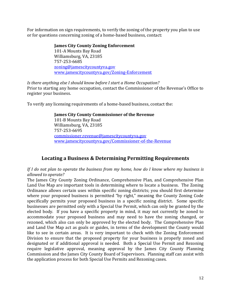For information on sign requirements, to verify the zoning of the property you plan to use or for questions concerning zoning of a home-based business, contact:

> **James City County Zoning Enforcement** 101-A Mounts Bay Road Williamsburg, VA, 23185 757-253-6685 [zoning@jamescitycountyva.gov](mailto:zoning@jamescitycountyva.gov)  [www.jamescitycountyva.gov/Zoning-Enforcement](http://www.jamescitycountyva.gov/447/Zoning-Enforcement)

*Is there anything else I should know before I start a Home Occupation?* Prior to starting any home occupation, contact the Commissioner of the Revenue's Office to register your business.

To verify any licensing requirements of a home-based business, contact the:

### **James City County Commissioner of the Revenue**

101-B Mounts Bay Road Williamsburg, VA, 23185 757-253-6695 [commissioner.revenue@jamescitycountyva.gov](mailto:commissioner.revenue@jamescitycountyva.gov) [www.jamescitycountyva.gov/Commissioner-of-the-Revenue](http://www.jamescitycountyva.gov/385/Commissioner-of-the-Revenue)

### **Locating a Business & Determining Permitting Requirements**

*If I do not plan to operate the business from my home, how do I know where my business is allowed to operate?*

The James City County Zoning Ordinance, Comprehensive Plan, and Comprehensive Plan Land Use Map are important tools in determining where to locate a business. The Zoning Ordinance allows certain uses within specific zoning districts; you should first determine where your proposed business is permitted "by right," meaning the County Zoning Code specifically permits your proposed business in a specific zoning district. Some specific businesses are permitted only with a Special Use Permit, which can only be granted by the elected body. If you have a specific property in mind, it may not currently be zoned to accommodate your proposed business and may need to have the zoning changed, or rezoned, which also can only be approved by the elected body. The Comprehensive Plan and Land Use Map act as goals or guides, in terms of the development the County would like to see in certain areas. It is very important to check with the Zoning Enforcement Division to ensure that the proposed property for your business is properly zoned and designated or if additional approval is needed. Both a Special Use Permit and Rezoning require legislative approval, meaning approval by the James City County Planning Commission and the James City County Board of Supervisors. Planning staff can assist with the application process for both Special Use Permits and Rezoning cases.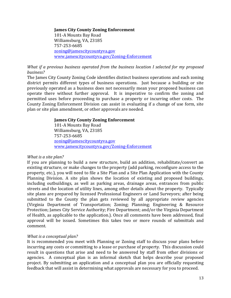#### **James City County Zoning Enforcement**

101-A Mounts Bay Road Williamsburg, VA, 23185 757-253-6685 [zoning@jamescitycountyva.gov](mailto:zoning@jamescitycountyva.gov) [www.jamescitycountyva.gov/Zoning-Enforcement](http://www.jamescitycountyva.gov/447/Zoning-Enforcement)

### *What if a previous business operated from the business location I selected for my proposed business?*

The James City County Zoning Code identifies distinct business operations and each zoning district permits different types of business operations. Just because a building or site previously operated as a business does not necessarily mean your proposed business can operate there without further approval. It is imperative to confirm the zoning and permitted uses before proceeding to purchase a property or incurring other costs. The County Zoning Enforcement Division can assist in evaluating if a change of use form, site plan or site plan amendment, or other approvals are needed.

### **James City County Zoning Enforcement**

101-A Mounts Bay Road Williamsburg, VA, 23185 757-253-6685 [zoning@jamescitycountyva.gov](mailto:zoning@jamescitycountyva.gov) [www.jamescitycountyva.gov/Zoning-Enforcement](http://www.jamescitycountyva.gov/447/Zoning-Enforcement)

### *What is a site plan?*

If you are planning to build a new structure, build an addition, rehabilitate/convert an existing structure, or make changes to the property (add parking, reconfigure access to the property, etc.), you will need to file a Site Plan and a Site Plan Application with the County Planning Division. A site plan shows the location of existing and proposed buildings, including outbuildings, as well as parking areas, drainage areas, entrances from public streets and the location of utility lines, among other details about the property. Typically site plans are prepared by licensed Professional Engineers or Land Surveyors; after being submitted to the County the plan gets reviewed by all appropriate review agencies (Virginia Department of Transportation; Zoning; Planning; Engineering & Resource Protection; James City Service Authority; Fire Department; and/or the Virginia Department of Health, as applicable to the application.). Once all comments have been addressed, final approval will be issued. Sometimes this takes two or more rounds of submittals and comment.

### *What is a conceptual plan?*

It is recommended you meet with Planning or Zoning staff to discuss your plans before incurring any costs or committing to a lease or purchase of property. This discussion could result in questions that arise and need to be answered by staff from other divisions or agencies. A conceptual plan is an informal sketch that helps describe your proposed project. By submitting an application and a conceptual plan you are officially requesting feedback that will assist in determining what approvals are necessary for you to proceed.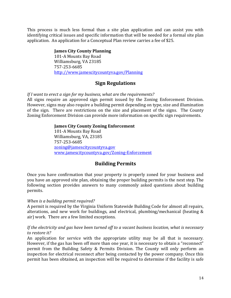This process is much less formal than a site plan application and can assist you with identifying critical issues and specific information that will be needed for a formal site plan application. An application for a Conceptual Plan review carries a fee of \$25.

### **James City County Planning**

101-A Mounts Bay Road Williamsburg, VA 23185 757-253-6685 [http://www.jamescitycountyva.gov/Planning](http://www.jamescitycountyva.gov/404/Planning)

### **Sign Regulations**

*If I want to erect a sign for my business, what are the requirements?*

All signs require an approved sign permit issued by the Zoning Enforcement Division. However, signs may also require a building permit depending on type, size and illumination of the sign. There are restrictions on the size and placement of the signs. The County Zoning Enforcement Division can provide more information on specific sign requirements.

### **James City County Zoning Enforcement**

101-A Mounts Bay Road Williamsburg, VA, 23185 757-253-6685 [zoning@jamescitycountyva.gov](mailto:zoning@jamescitycountyva.gov) [www.jamescitycountyva.gov/Zoning-Enforcement](http://www.jamescitycountyva.gov/447/Zoning-Enforcement)

### **Building Permits**

Once you have confirmation that your property is properly zoned for your business and you have an approved site plan, obtaining the proper building permits is the next step. The following section provides answers to many commonly asked questions about building permits.

### *When is a building permit required?*

A permit is required by the Virginia Uniform Statewide Building Code for almost all repairs, alterations, and new work for buildings, and electrical, plumbing/mechanical (heating & air) work. There are a few limited exceptions.

### *If the electricity and gas have been turned off to a vacant business location, what is necessary to restore it?*

An application for service with the appropriate utility may be all that is necessary. However, if the gas has been off more than one year, it is necessary to obtain a "reconnect" permit from the Building Safety & Permits Division. The County will only perform an inspection for electrical reconnect after being contacted by the power company. Once this permit has been obtained, an inspection will be required to determine if the facility is safe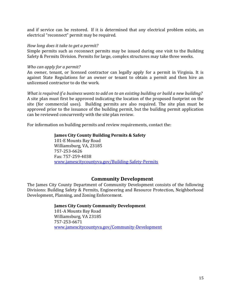and if service can be restored. If it is determined that any electrical problem exists, an electrical "reconnect" permit may be required.

### *How long does it take to get a permit?*

Simple permits such as reconnect permits may be issued during one visit to the Building Safety & Permits Division. Permits for large, complex structures may take three weeks.

#### *Who can apply for a permit?*

An owner, tenant, or licensed contractor can legally apply for a permit in Virginia. It is against State Regulations for an owner or tenant to obtain a permit and then hire an unlicensed contractor to do the work.

*What is required if a business wants to add on to an existing building or build a new building?* A site plan must first be approved indicating the location of the proposed footprint on the site (for commercial uses). Building permits are also required. The site plan must be approved prior to the issuance of the building permit, but the building permit application can be reviewed concurrently with the site plan review.

For information on building permits and review requirements, contact the:

### **James City County Building Permits & Safety**

101-E Mounts Bay Road Williamsburg, VA, 23185 757-253-6626 Fax: 757-259-4038 [www.jamescitycountyva.gov/Building-Safety-Permits](http://www.jamescitycountyva.gov/406/Building-Safety-Permits)

### **Community Development**

The James City County Department of Community Development consists of the following Divisions: Building Safety & Permits, Engineering and Resource Protection, Neighborhood Development, Planning, and Zoning Enforcement.

### **James City County Community Development**

101-A Mounts Bay Road Williamsburg, VA 23185 757-253-6671 [www.jamescitycountyva.gov/Community-Development](http://www.jamescitycountyva.gov/Community-Development)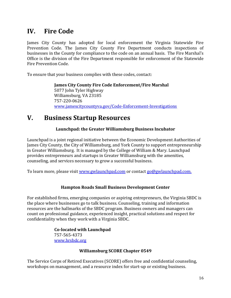# **IV. Fire Code**

James City County has adopted for local enforcement the Virginia Statewide Fire Prevention Code. The James City County Fire Department conducts inspections of businesses in the County for compliance to the code on an annual basis. The Fire Marshal's Office is the division of the Fire Department responsible for enforcement of the Statewide Fire Prevention Code.

To ensure that your business complies with these codes, contact:

**James City County Fire Code Enforcement/Fire Marshal** 5077 John Tyler Highway Williamsburg, VA 23185 757-220-0626 [www.jamescitycountyva.gov/Code-Enforcement-Investigations](http://www.jamescitycountyva.gov/Code-Enforcement-Investigations)

# **V. Business Startup Resources**

### **Launchpad: the Greater Williamsburg Business Incubator**

Launchpad is a joint regional initiative between the Economic Development Authorities of James City County, the City of Williamsburg, and York County to support entrepreneurship in Greater Williamsburg. It is managed by the College of William & Mary. Launchpad provides entrepreneurs and startups in Greater Williamsburg with the amenities, counseling, and services necessary to grow a successful business.

To learn more, please visit [www.gwlaunchpad.com](http://www.gwlaunchpad.com/) or contac[t go@gwlaunchpad.com.](mailto:go@gwlaunchpad.com)

### **Hampton Roads Small Business Development Center**

For established firms, emerging companies or aspiring entrepreneurs, the Virginia SBDC is the place where businesses go to talk business. Counseling, training and information resources are the hallmarks of the SBDC program. Business owners and managers can count on professional guidance, experienced insight, practical solutions and respect for confidentiality when they work with a Virginia SBDC.

> **Co-located with Launchpad** 757-565-4373 [www.hrsbdc.org](http://www.hrsbdc.org/)

### **Williamsburg SCORE Chapter 0549**

The Service Corps of Retired Executives [\(SCORE\)](http://www.scorewilliamsburg.org/) offers free and confidential counseling, workshops on management, and a resource index for start-up or existing business.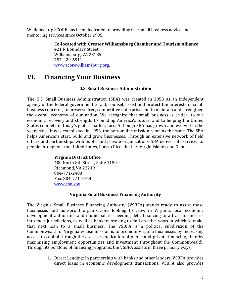Williamsburg SCORE has been dedicated to providing free small business advice and mentoring services since October 1985.

> **Co-located with Greater Williamsburg Chamber and Tourism Alliance**  421 N Boundary Street Williamsburg, VA 23185 757-229-6511 [www.scorewilliamsburg.org.](http://www.scorewilliamsburg.org/)

# **VI. Financing Your Business**

### **U.S. Small Business Administration**

The U.S. Small Business Administration (SBA) was created in 1953 as an independent agency of the federal government to aid, counsel, assist and protect the interests of small business concerns, to preserve free, competitive enterprise and to maintain and strengthen the overall economy of our nation. We recognize that small business is critical to our economic recovery and strength, to building America's future, and to helping the United States compete in today's global marketplace. Although SBA has grown and evolved in the years since it was established in 1953, the bottom line mission remains the same. The SBA helps Americans start, build and grow businesses. Through an extensive network of field offices and partnerships with public and private organizations, SBA delivers its services to people throughout the United States, Puerto Rico, the U. S. Virgin Islands and Guam.

### **Virginia District Office**  400 North 8th Street, Suite 1150 Richmond, VA 23219 804-771-2400 Fax: 804-771-2764 [www.sba.gov](http://www.sba.gov/about-offices-content/2/3155)

### **Virginia Small Business Financing Authority**

The Virginia Small Business Financing Authority (VSBFA) stands ready to assist those businesses and non-profit organizations looking to grow in Virginia, local economic development authorities and municipalities needing debt financing to attract businesses into their jurisdictions, as well as bankers seeking to find creative ways in which to make that next loan to a small business. The VSBFA is a political subdivision of the Commonwealth of Virginia whose mission is to promote Virginia businesses by increasing access to capital through the creative application of public and private financing, thereby maximizing employment opportunities and investment throughout the Commonwealth. Through its portfolio of financing programs, the VSBFA assists in three primary ways:

> 1. Direct Lending: In partnership with banks and other lenders, VSBFA provides direct loans in economic development transactions. VSBFA also provides